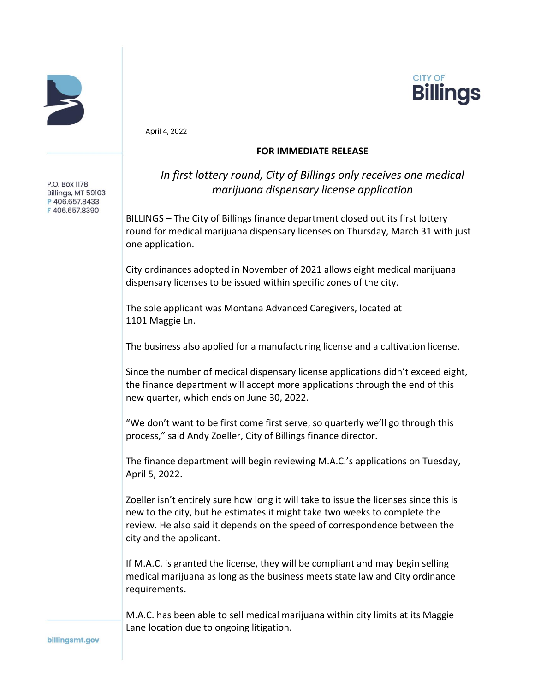



April 4, 2022

## **FOR IMMEDIATE RELEASE**

P.O. Box 1178 Billings, MT 59103 P406.657.8433 F406.657.8390

## *In first lottery round, City of Billings only receives one medical marijuana dispensary license application*

BILLINGS – The City of Billings finance department closed out its first lottery round for medical marijuana dispensary licenses on Thursday, March 31 with just one application.

City ordinances adopted in November of 2021 allows eight medical marijuana dispensary licenses to be issued within specific zones of the city.

The sole applicant was Montana Advanced Caregivers, located at 1101 Maggie Ln.

The business also applied for a manufacturing license and a cultivation license.

Since the number of medical dispensary license applications didn't exceed eight, the finance department will accept more applications through the end of this new quarter, which ends on June 30, 2022.

"We don't want to be first come first serve, so quarterly we'll go through this process," said Andy Zoeller, City of Billings finance director.

The finance department will begin reviewing M.A.C.'s applications on Tuesday, April 5, 2022.

Zoeller isn't entirely sure how long it will take to issue the licenses since this is new to the city, but he estimates it might take two weeks to complete the review. He also said it depends on the speed of correspondence between the city and the applicant.

If M.A.C. is granted the license, they will be compliant and may begin selling medical marijuana as long as the business meets state law and City ordinance requirements.

M.A.C. has been able to sell medical marijuana within city limits at its Maggie Lane location due to ongoing litigation.